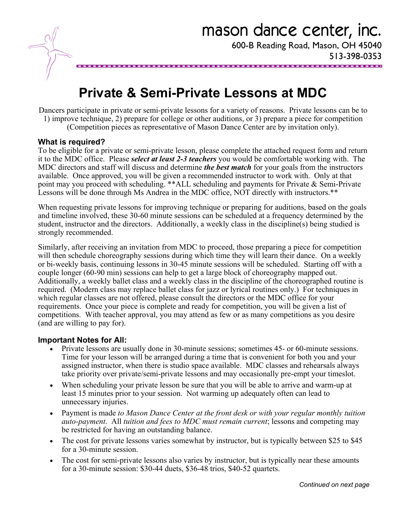

# **Private & Semi-Private Lessons at MDC**

Dancers participate in private or semi-private lessons for a variety of reasons. Private lessons can be to 1) improve technique, 2) prepare for college or other auditions, or 3) prepare a piece for competition

(Competition pieces as representative of Mason Dance Center are by invitation only).

#### **What is required?**

popo

To be eligible for a private or semi-private lesson, please complete the attached request form and return it to the MDC office. Please *select at least 2-3 teachers* you would be comfortable working with. The MDC directors and staff will discuss and determine *the best match* for your goals from the instructors available. Once approved, you will be given a recommended instructor to work with. Only at that point may you proceed with scheduling. \*\*ALL scheduling and payments for Private & Semi-Private Lessons will be done through Ms Andrea in the MDC office, NOT directly with instructors.\*\*

When requesting private lessons for improving technique or preparing for auditions, based on the goals and timeline involved, these 30-60 minute sessions can be scheduled at a frequency determined by the student, instructor and the directors. Additionally, a weekly class in the discipline(s) being studied is strongly recommended.

Similarly, after receiving an invitation from MDC to proceed, those preparing a piece for competition will then schedule choreography sessions during which time they will learn their dance. On a weekly or bi-weekly basis, continuing lessons in 30-45 minute sessions will be scheduled. Starting off with a couple longer (60-90 min) sessions can help to get a large block of choreography mapped out. Additionally, a weekly ballet class and a weekly class in the discipline of the choreographed routine is required. (Modern class may replace ballet class for jazz or lyrical routines only.) For techniques in which regular classes are not offered, please consult the directors or the MDC office for your requirements. Once your piece is complete and ready for competition, you will be given a list of competitions. With teacher approval, you may attend as few or as many competitions as you desire (and are willing to pay for).

#### **Important Notes for All:**

- Private lessons are usually done in 30-minute sessions; sometimes 45- or 60-minute sessions. Time for your lesson will be arranged during a time that is convenient for both you and your assigned instructor, when there is studio space available. MDC classes and rehearsals always take priority over private/semi-private lessons and may occasionally pre-empt your timeslot.
- When scheduling your private lesson be sure that you will be able to arrive and warm-up at least 15 minutes prior to your session. Not warming up adequately often can lead to unnecessary injuries.
- Payment is made *to Mason Dance Center at the front desk or with your regular monthly tuition auto-payment*. All *tuition and fees to MDC must remain current*; lessons and competing may be restricted for having an outstanding balance.
- The cost for private lessons varies somewhat by instructor, but is typically between \$25 to \$45 for a 30-minute session.
- The cost for semi-private lessons also varies by instructor, but is typically near these amounts for a 30-minute session: \$30-44 duets, \$36-48 trios, \$40-52 quartets.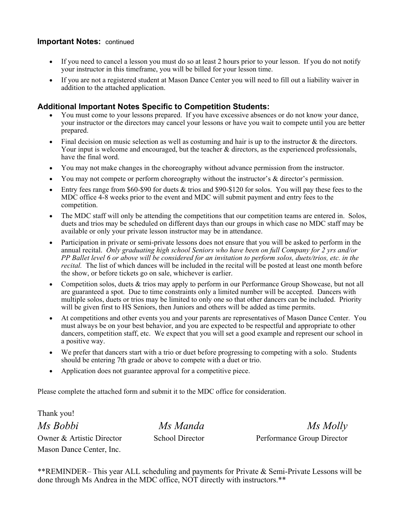### **Important Notes:** continued

- If you need to cancel a lesson you must do so at least 2 hours prior to your lesson. If you do not notify your instructor in this timeframe, you will be billed for your lesson time.
- If you are not a registered student at Mason Dance Center you will need to fill out a liability waiver in addition to the attached application.

## **Additional Important Notes Specific to Competition Students:**

- You must come to your lessons prepared. If you have excessive absences or do not know your dance, your instructor or the directors may cancel your lessons or have you wait to compete until you are better prepared.
- $\bullet$  Final decision on music selection as well as costuming and hair is up to the instructor & the directors. Your input is welcome and encouraged, but the teacher  $\&$  directors, as the experienced professionals, have the final word.
- You may not make changes in the choreography without advance permission from the instructor.
- You may not compete or perform choreography without the instructor's & director's permission.
- Entry fees range from \$60-\$90 for duets & trios and \$90-\$120 for solos. You will pay these fees to the MDC office 4-8 weeks prior to the event and MDC will submit payment and entry fees to the competition.
- The MDC staff will only be attending the competitions that our competition teams are entered in. Solos, duets and trios may be scheduled on different days than our groups in which case no MDC staff may be available or only your private lesson instructor may be in attendance.
- Participation in private or semi-private lessons does not ensure that you will be asked to perform in the annual recital. *Only graduating high school Seniors who have been on full Company for 2 yrs and/or PP Ballet level 6 or above will be considered for an invitation to perform solos, duets/trios, etc. in the recital.* The list of which dances will be included in the recital will be posted at least one month before the show, or before tickets go on sale, whichever is earlier.
- Competition solos, duets & trios may apply to perform in our Performance Group Showcase, but not all are guaranteed a spot. Due to time constraints only a limited number will be accepted. Dancers with multiple solos, duets or trios may be limited to only one so that other dancers can be included. Priority will be given first to HS Seniors, then Juniors and others will be added as time permits.
- At competitions and other events you and your parents are representatives of Mason Dance Center. You must always be on your best behavior, and you are expected to be respectful and appropriate to other dancers, competition staff, etc. We expect that you will set a good example and represent our school in a positive way.
- We prefer that dancers start with a trio or duet before progressing to competing with a solo. Students should be entering 7th grade or above to compete with a duet or trio.
- Application does not guarantee approval for a competitive piece.

Please complete the attached form and submit it to the MDC office for consideration.

Thank you! *Ms Bobbi Ms Manda Ms Molly*  Mason Dance Center, Inc.

Owner & Artistic Director School Director Performance Group Director

\*\*REMINDER– This year ALL scheduling and payments for Private & Semi-Private Lessons will be done through Ms Andrea in the MDC office, NOT directly with instructors.\*\*